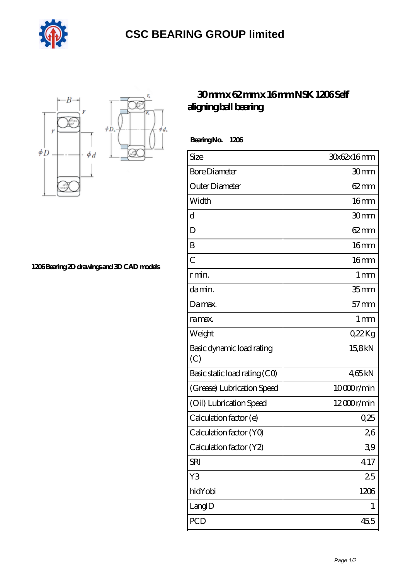

## **[CSC BEARING GROUP limited](https://augustinusga.com)**



**[1206 Bearing 2D drawings and 3D CAD models](https://augustinusga.com/pic-65109967.html)**

## **[30 mm x 62 mm x 16 mm NSK 1206 Self](https://augustinusga.com/nsk-1206-bearing/) [aligning ball bearing](https://augustinusga.com/nsk-1206-bearing/)**

 **Bearing No. 1206**

 $\phi_d$ 

| Size                             | 30x62x16mm        |
|----------------------------------|-------------------|
| <b>Bore Diameter</b>             | 30mm              |
| Outer Diameter                   | $62 \text{mm}$    |
| Width                            | 16 <sub>mm</sub>  |
| d                                | 30mm              |
| D                                | $62 \text{mm}$    |
| B                                | 16 <sub>mm</sub>  |
| $\overline{C}$                   | 16mm              |
| r min.                           | $1 \,\mathrm{mm}$ |
| da min.                          | 35 <sub>mm</sub>  |
| Damax.                           | $57$ mm           |
| ra max.                          | $1 \,\mathrm{mm}$ |
| Weight                           | $022$ Kg          |
| Basic dynamic load rating<br>(C) | 15,8kN            |
| Basic static load rating (CO)    | 465kN             |
| (Grease) Lubrication Speed       | 10000r/min        |
| (Oil) Lubrication Speed          | $12000$ r/min     |
| Calculation factor (e)           | 0,25              |
| Calculation factor (YO)          | 26                |
| Calculation factor (Y2)          | 39                |
| <b>SRI</b>                       | 4.17              |
| Y3                               | 25                |
| hidYobi                          | 1206              |
| LangID                           | 1                 |
| PCD                              | 45.5              |
|                                  |                   |